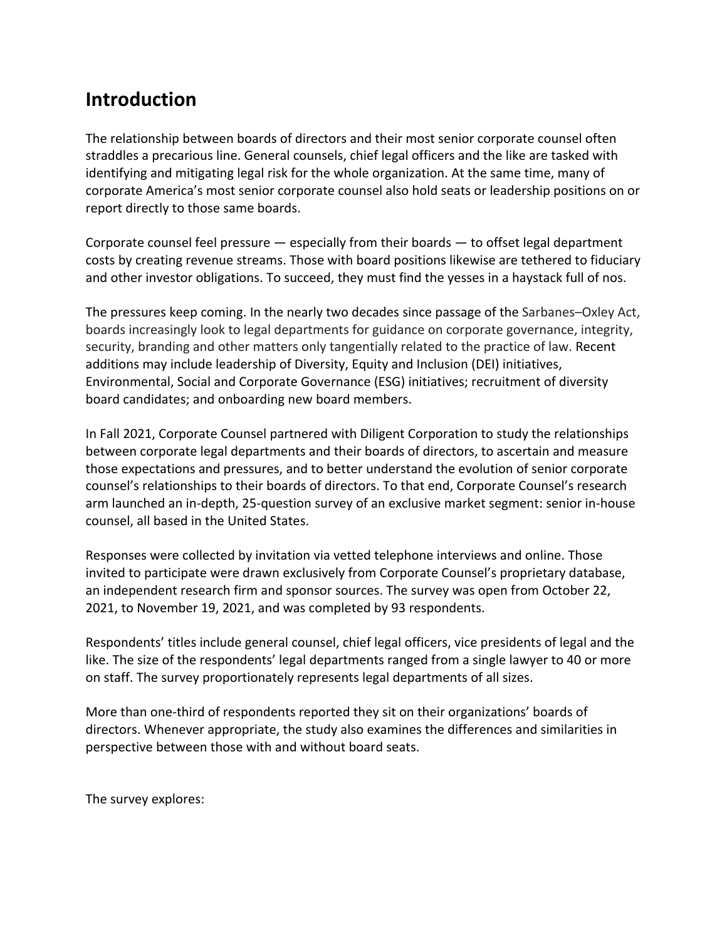# **Introduction**

The relationship between boards of directors and their most senior corporate counsel often straddles a precarious line. General counsels, chief legal officers and the like are tasked with identifying and mitigating legal risk for the whole organization. At the same time, many of corporate America's most senior corporate counsel also hold seats or leadership positions on or report directly to those same boards.

Corporate counsel feel pressure  $-$  especially from their boards  $-$  to offset legal department costs by creating revenue streams. Those with board positions likewise are tethered to fiduciary and other investor obligations. To succeed, they must find the yesses in a haystack full of nos.

The pressures keep coming. In the nearly two decades since passage of the Sarbanes–Oxley Act, boards increasingly look to legal departments for guidance on corporate governance, integrity, security, branding and other matters only tangentially related to the practice of law. Recent additions may include leadership of Diversity, Equity and Inclusion (DEI) initiatives, Environmental, Social and Corporate Governance (ESG) initiatives; recruitment of diversity board candidates; and onboarding new board members.

In Fall 2021, Corporate Counsel partnered with Diligent Corporation to study the relationships between corporate legal departments and their boards of directors, to ascertain and measure those expectations and pressures, and to better understand the evolution of senior corporate counsel's relationships to their boards of directors. To that end, Corporate Counsel's research arm launched an in-depth, 25-question survey of an exclusive market segment: senior in-house counsel, all based in the United States.

Responses were collected by invitation via vetted telephone interviews and online. Those invited to participate were drawn exclusively from Corporate Counsel's proprietary database, an independent research firm and sponsor sources. The survey was open from October 22, 2021, to November 19, 2021, and was completed by 93 respondents.

Respondents' titles include general counsel, chief legal officers, vice presidents of legal and the like. The size of the respondents' legal departments ranged from a single lawyer to 40 or more on staff. The survey proportionately represents legal departments of all sizes.

More than one-third of respondents reported they sit on their organizations' boards of directors. Whenever appropriate, the study also examines the differences and similarities in perspective between those with and without board seats.

The survey explores: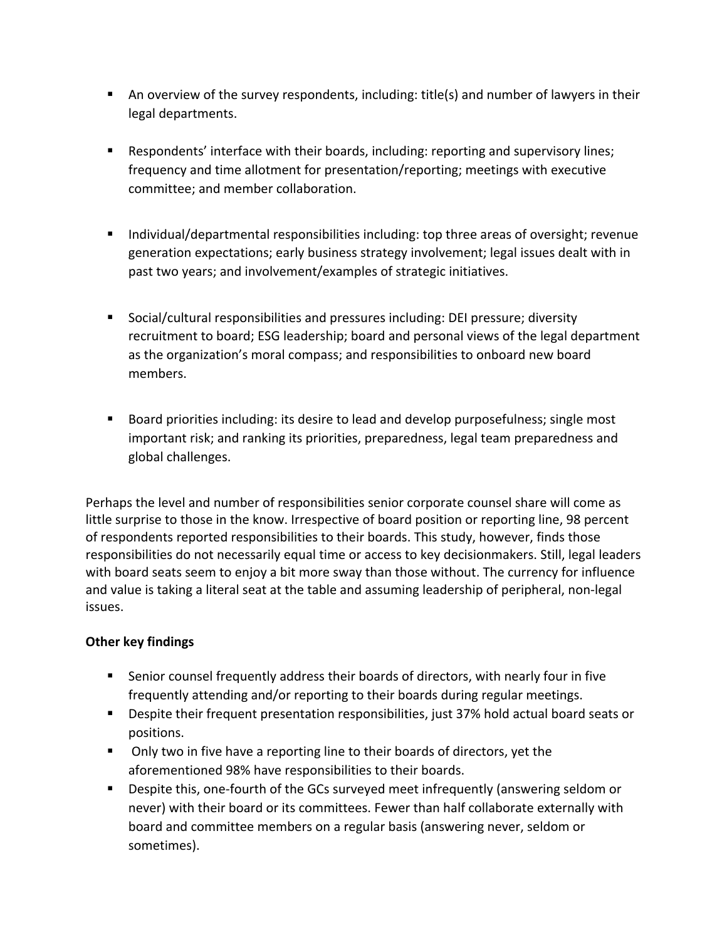- An overview of the survey respondents, including: title(s) and number of lawyers in their legal departments.
- Respondents' interface with their boards, including: reporting and supervisory lines; frequency and time allotment for presentation/reporting; meetings with executive committee; and member collaboration.
- Individual/departmental responsibilities including: top three areas of oversight; revenue generation expectations; early business strategy involvement; legal issues dealt with in past two years; and involvement/examples of strategic initiatives.
- Social/cultural responsibilities and pressures including: DEI pressure; diversity recruitment to board; ESG leadership; board and personal views of the legal department as the organization's moral compass; and responsibilities to onboard new board members.
- Board priorities including: its desire to lead and develop purposefulness; single most important risk; and ranking its priorities, preparedness, legal team preparedness and global challenges.

Perhaps the level and number of responsibilities senior corporate counsel share will come as little surprise to those in the know. Irrespective of board position or reporting line, 98 percent of respondents reported responsibilities to their boards. This study, however, finds those responsibilities do not necessarily equal time or access to key decisionmakers. Still, legal leaders with board seats seem to enjoy a bit more sway than those without. The currency for influence and value is taking a literal seat at the table and assuming leadership of peripheral, non-legal issues.

## **Other key findings**

- Senior counsel frequently address their boards of directors, with nearly four in five frequently attending and/or reporting to their boards during regular meetings.
- Despite their frequent presentation responsibilities, just 37% hold actual board seats or positions.
- § Only two in five have a reporting line to their boards of directors, yet the aforementioned 98% have responsibilities to their boards.
- Despite this, one-fourth of the GCs surveyed meet infrequently (answering seldom or never) with their board or its committees. Fewer than half collaborate externally with board and committee members on a regular basis (answering never, seldom or sometimes).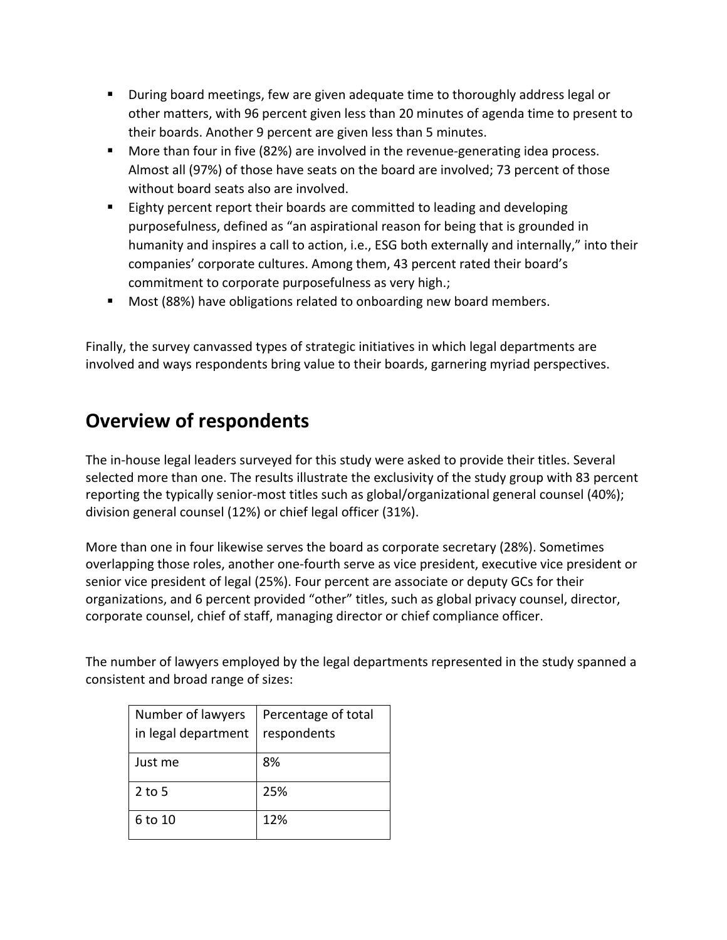- During board meetings, few are given adequate time to thoroughly address legal or other matters, with 96 percent given less than 20 minutes of agenda time to present to their boards. Another 9 percent are given less than 5 minutes.
- More than four in five (82%) are involved in the revenue-generating idea process. Almost all (97%) of those have seats on the board are involved; 73 percent of those without board seats also are involved.
- Eighty percent report their boards are committed to leading and developing purposefulness, defined as "an aspirational reason for being that is grounded in humanity and inspires a call to action, i.e., ESG both externally and internally," into their companies' corporate cultures. Among them, 43 percent rated their board's commitment to corporate purposefulness as very high.;
- Most (88%) have obligations related to onboarding new board members.

Finally, the survey canvassed types of strategic initiatives in which legal departments are involved and ways respondents bring value to their boards, garnering myriad perspectives.

# **Overview of respondents**

The in-house legal leaders surveyed for this study were asked to provide their titles. Several selected more than one. The results illustrate the exclusivity of the study group with 83 percent reporting the typically senior-most titles such as global/organizational general counsel (40%); division general counsel (12%) or chief legal officer (31%).

More than one in four likewise serves the board as corporate secretary (28%). Sometimes overlapping those roles, another one-fourth serve as vice president, executive vice president or senior vice president of legal (25%). Four percent are associate or deputy GCs for their organizations, and 6 percent provided "other" titles, such as global privacy counsel, director, corporate counsel, chief of staff, managing director or chief compliance officer.

The number of lawyers employed by the legal departments represented in the study spanned a consistent and broad range of sizes:

| Number of lawyers   | Percentage of total |
|---------------------|---------------------|
| in legal department | respondents         |
| Just me             | 8%                  |
| $2$ to 5            | 25%                 |
| 6 to 10             | 12%                 |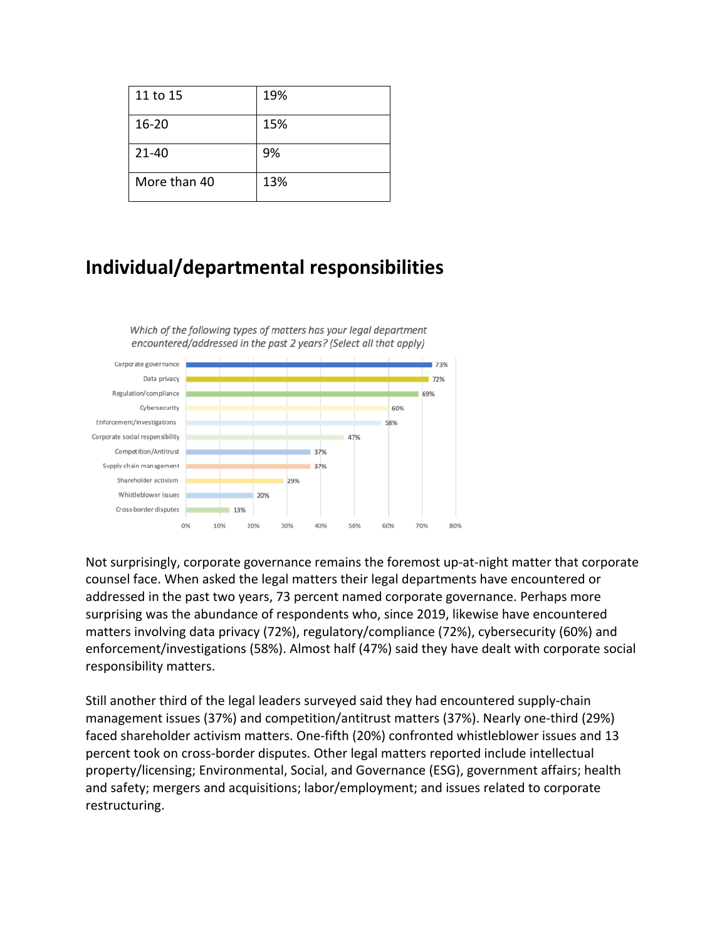| 11 to 15     | 19% |
|--------------|-----|
| $16 - 20$    | 15% |
| $21 - 40$    | 9%  |
| More than 40 | 13% |

# **Individual/departmental responsibilities**



Not surprisingly, corporate governance remains the foremost up-at-night matter that corporate counsel face. When asked the legal matters their legal departments have encountered or addressed in the past two years, 73 percent named corporate governance. Perhaps more surprising was the abundance of respondents who, since 2019, likewise have encountered matters involving data privacy (72%), regulatory/compliance (72%), cybersecurity (60%) and enforcement/investigations (58%). Almost half (47%) said they have dealt with corporate social responsibility matters.

Still another third of the legal leaders surveyed said they had encountered supply-chain management issues (37%) and competition/antitrust matters (37%). Nearly one-third (29%) faced shareholder activism matters. One-fifth (20%) confronted whistleblower issues and 13 percent took on cross-border disputes. Other legal matters reported include intellectual property/licensing; Environmental, Social, and Governance (ESG), government affairs; health and safety; mergers and acquisitions; labor/employment; and issues related to corporate restructuring.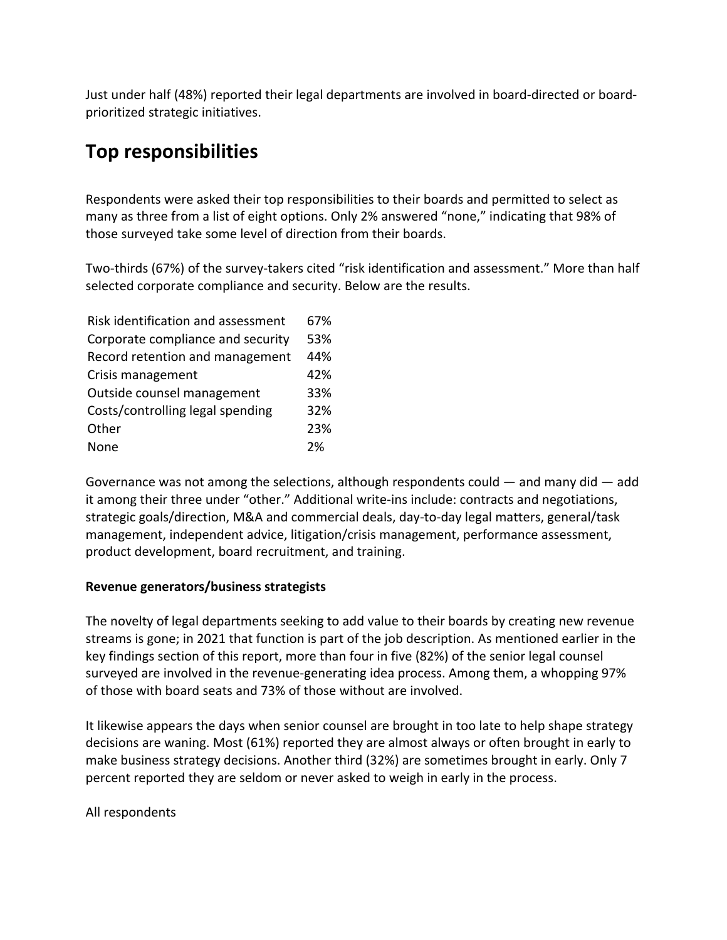Just under half (48%) reported their legal departments are involved in board-directed or boardprioritized strategic initiatives.

# **Top responsibilities**

Respondents were asked their top responsibilities to their boards and permitted to select as many as three from a list of eight options. Only 2% answered "none," indicating that 98% of those surveyed take some level of direction from their boards.

Two-thirds (67%) of the survey-takers cited "risk identification and assessment." More than half selected corporate compliance and security. Below are the results.

| Risk identification and assessment | 67% |
|------------------------------------|-----|
| Corporate compliance and security  | 53% |
| Record retention and management    | 44% |
| Crisis management                  | 42% |
| Outside counsel management         | 33% |
| Costs/controlling legal spending   | 32% |
| Other                              | 23% |
| None                               | 2%  |

Governance was not among the selections, although respondents could  $-$  and many did  $-$  add it among their three under "other." Additional write-ins include: contracts and negotiations, strategic goals/direction, M&A and commercial deals, day-to-day legal matters, general/task management, independent advice, litigation/crisis management, performance assessment, product development, board recruitment, and training.

### **Revenue generators/business strategists**

The novelty of legal departments seeking to add value to their boards by creating new revenue streams is gone; in 2021 that function is part of the job description. As mentioned earlier in the key findings section of this report, more than four in five (82%) of the senior legal counsel surveyed are involved in the revenue-generating idea process. Among them, a whopping 97% of those with board seats and 73% of those without are involved.

It likewise appears the days when senior counsel are brought in too late to help shape strategy decisions are waning. Most (61%) reported they are almost always or often brought in early to make business strategy decisions. Another third (32%) are sometimes brought in early. Only 7 percent reported they are seldom or never asked to weigh in early in the process.

All respondents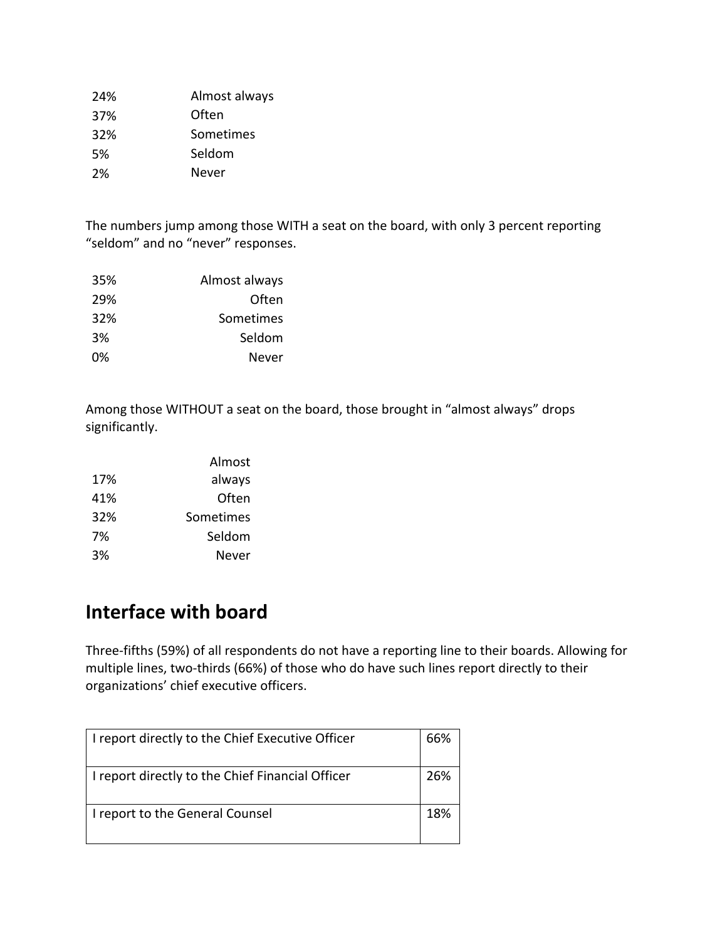| 24% | Almost always |
|-----|---------------|
| 37% | Often         |
| 32% | Sometimes     |
| .5% | Seldom        |
| 2%  | Never         |

The numbers jump among those WITH a seat on the board, with only 3 percent reporting "seldom" and no "never" responses.

| 35% | Almost always |
|-----|---------------|
| 29% | Often         |
| 32% | Sometimes     |
| 3%  | Seldom        |
| 0%  | Never         |

Among those WITHOUT a seat on the board, those brought in "almost always" drops significantly.

|     | Almost    |
|-----|-----------|
| 17% | always    |
| 41% | Often     |
| 32% | Sometimes |
| 7%  | Seldom    |
| 3%  | Never     |

# **Interface with board**

Three-fifths (59%) of all respondents do not have a reporting line to their boards. Allowing for multiple lines, two-thirds (66%) of those who do have such lines report directly to their organizations' chief executive officers.

| I report directly to the Chief Executive Officer | 66% |
|--------------------------------------------------|-----|
| I report directly to the Chief Financial Officer | 26% |
| I report to the General Counsel                  | 18% |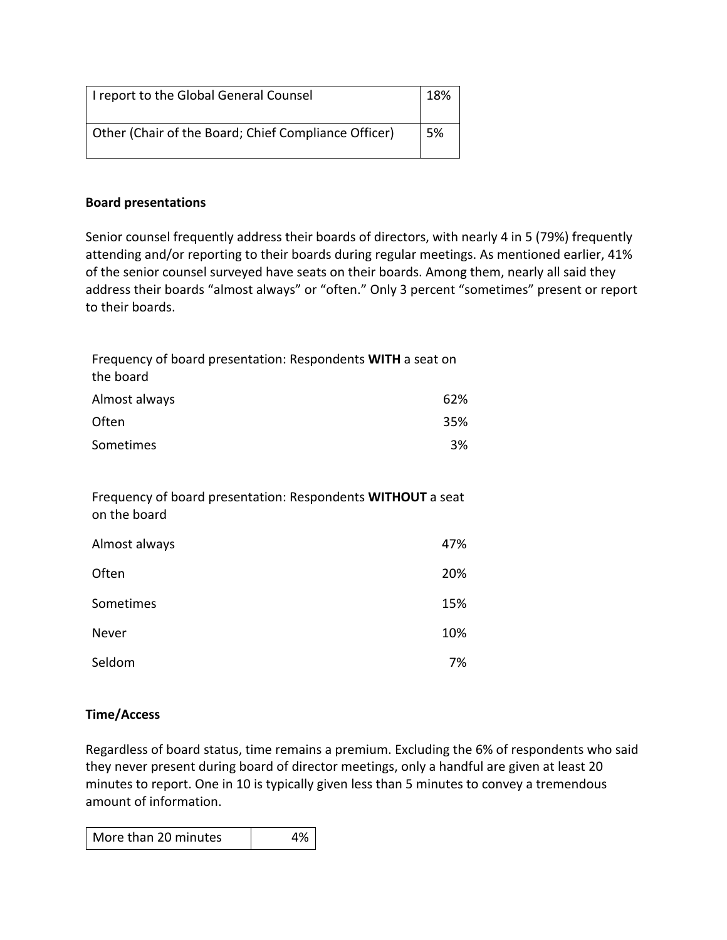| I report to the Global General Counsel               | 18% |
|------------------------------------------------------|-----|
| Other (Chair of the Board; Chief Compliance Officer) | -5% |

### **Board presentations**

Senior counsel frequently address their boards of directors, with nearly 4 in 5 (79%) frequently attending and/or reporting to their boards during regular meetings. As mentioned earlier, 41% of the senior counsel surveyed have seats on their boards. Among them, nearly all said they address their boards "almost always" or "often." Only 3 percent "sometimes" present or report to their boards.

| Frequency of board presentation: Respondents WITH a seat on<br>the board    |     |
|-----------------------------------------------------------------------------|-----|
| Almost always                                                               | 62% |
| Often                                                                       | 35% |
| Sometimes                                                                   | 3%  |
|                                                                             |     |
| Frequency of board presentation: Respondents WITHOUT a seat<br>on the board |     |
| Almost always                                                               | 47% |
| Often                                                                       | 20% |
| Sometimes                                                                   | 15% |
| Never                                                                       | 10% |
| Seldom                                                                      | 7%  |
|                                                                             |     |

## **Time/Access**

Regardless of board status, time remains a premium. Excluding the 6% of respondents who said they never present during board of director meetings, only a handful are given at least 20 minutes to report. One in 10 is typically given less than 5 minutes to convey a tremendous amount of information.

|--|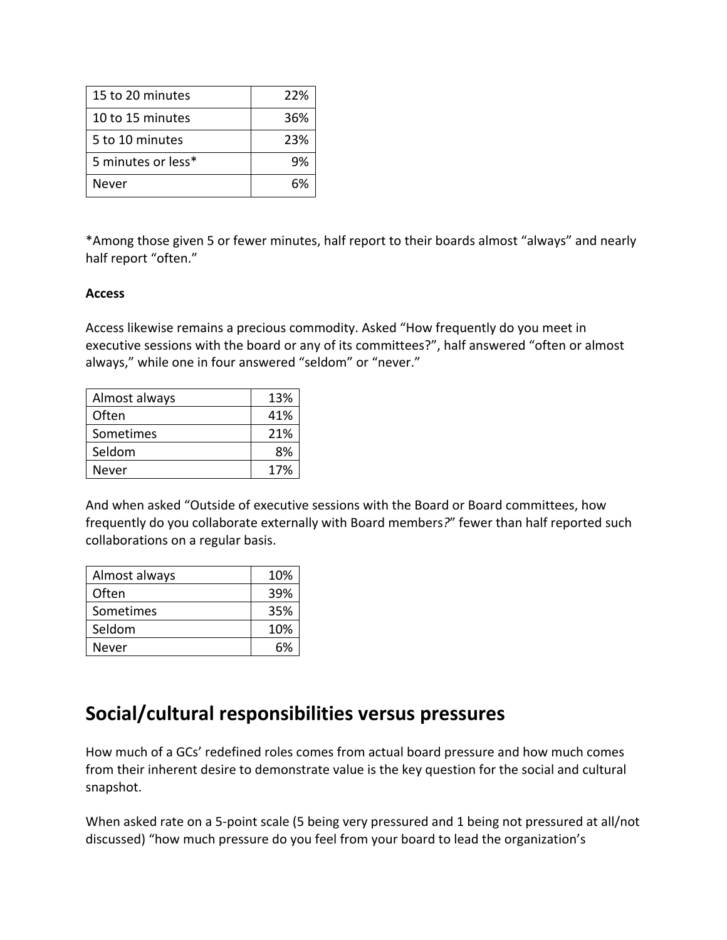| 15 to 20 minutes   | 22% |
|--------------------|-----|
| 10 to 15 minutes   | 36% |
| 5 to 10 minutes    | 23% |
| 5 minutes or less* | 9%  |
| Never              |     |

\*Among those given 5 or fewer minutes, half report to their boards almost "always" and nearly half report "often."

### **Access**

Access likewise remains a precious commodity. Asked "How frequently do you meet in executive sessions with the board or any of its committees?", half answered "often or almost always," while one in four answered "seldom" or "never."

| Almost always | 13% |
|---------------|-----|
| Often         | 41% |
| Sometimes     | 21% |
| Seldom        | 8%  |
| Never         | 17% |

And when asked "Outside of executive sessions with the Board or Board committees, how frequently do you collaborate externally with Board members*?*" fewer than half reported such collaborations on a regular basis.

| Almost always | 10% |
|---------------|-----|
| Often         | 39% |
| Sometimes     | 35% |
| Seldom        | 10% |
| Never         | 6%  |

# **Social/cultural responsibilities versus pressures**

How much of a GCs' redefined roles comes from actual board pressure and how much comes from their inherent desire to demonstrate value is the key question for the social and cultural snapshot.

When asked rate on a 5-point scale (5 being very pressured and 1 being not pressured at all/not discussed) "how much pressure do you feel from your board to lead the organization's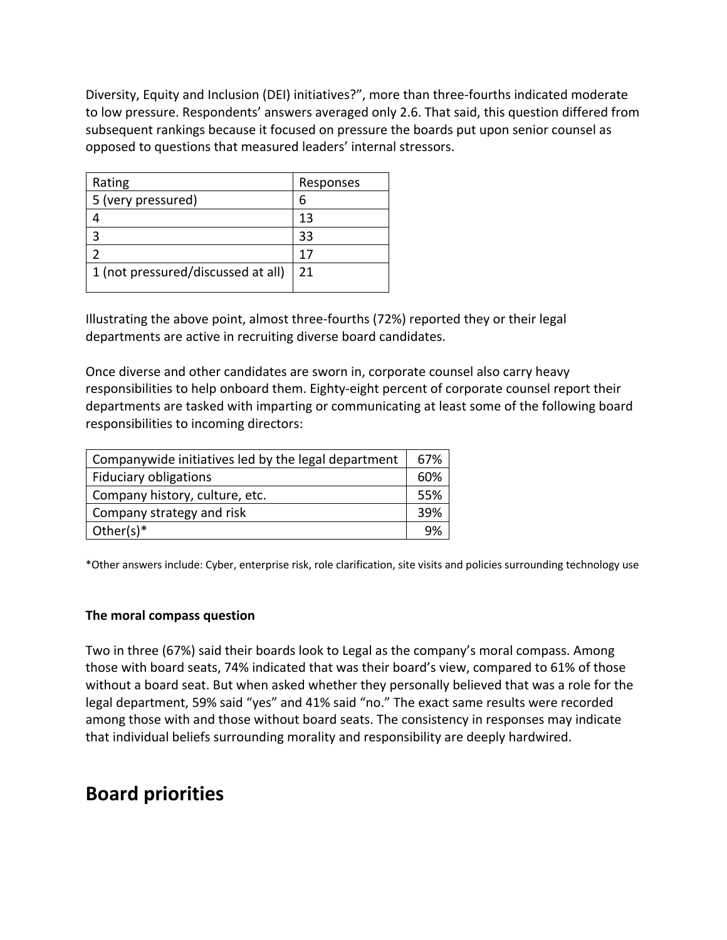Diversity, Equity and Inclusion (DEI) initiatives?", more than three-fourths indicated moderate to low pressure. Respondents' answers averaged only 2.6. That said, this question differed from subsequent rankings because it focused on pressure the boards put upon senior counsel as opposed to questions that measured leaders' internal stressors.

| Rating                             | Responses |
|------------------------------------|-----------|
| 5 (very pressured)                 | 6         |
|                                    | 13        |
| 3                                  | 33        |
|                                    | 17        |
| 1 (not pressured/discussed at all) | 21        |

Illustrating the above point, almost three-fourths (72%) reported they or their legal departments are active in recruiting diverse board candidates.

Once diverse and other candidates are sworn in, corporate counsel also carry heavy responsibilities to help onboard them. Eighty-eight percent of corporate counsel report their departments are tasked with imparting or communicating at least some of the following board responsibilities to incoming directors:

| Companywide initiatives led by the legal department | 67%  |
|-----------------------------------------------------|------|
| <b>Fiduciary obligations</b>                        | 60%  |
| Company history, culture, etc.                      | .55% |
| Company strategy and risk                           | 39%  |
| Other(s) $*$                                        | 9%   |

\*Other answers include: Cyber, enterprise risk, role clarification, site visits and policies surrounding technology use

### **The moral compass question**

Two in three (67%) said their boards look to Legal as the company's moral compass. Among those with board seats, 74% indicated that was their board's view, compared to 61% of those without a board seat. But when asked whether they personally believed that was a role for the legal department, 59% said "yes" and 41% said "no." The exact same results were recorded among those with and those without board seats. The consistency in responses may indicate that individual beliefs surrounding morality and responsibility are deeply hardwired.

## **Board priorities**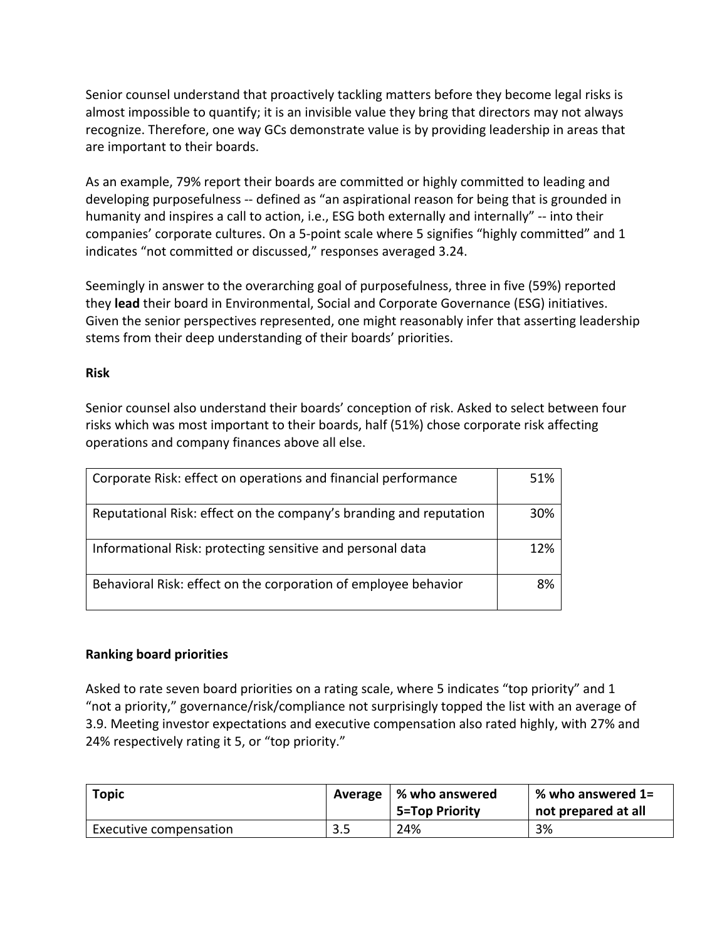Senior counsel understand that proactively tackling matters before they become legal risks is almost impossible to quantify; it is an invisible value they bring that directors may not always recognize. Therefore, one way GCs demonstrate value is by providing leadership in areas that are important to their boards.

As an example, 79% report their boards are committed or highly committed to leading and developing purposefulness -- defined as "an aspirational reason for being that is grounded in humanity and inspires a call to action, i.e., ESG both externally and internally" -- into their companies' corporate cultures. On a 5-point scale where 5 signifies "highly committed" and 1 indicates "not committed or discussed," responses averaged 3.24.

Seemingly in answer to the overarching goal of purposefulness, three in five (59%) reported they **lead** their board in Environmental, Social and Corporate Governance (ESG) initiatives. Given the senior perspectives represented, one might reasonably infer that asserting leadership stems from their deep understanding of their boards' priorities.

### **Risk**

Senior counsel also understand their boards' conception of risk. Asked to select between four risks which was most important to their boards, half (51%) chose corporate risk affecting operations and company finances above all else.

| Corporate Risk: effect on operations and financial performance     | 51% |
|--------------------------------------------------------------------|-----|
| Reputational Risk: effect on the company's branding and reputation | 30% |
| Informational Risk: protecting sensitive and personal data         | 12% |
| Behavioral Risk: effect on the corporation of employee behavior    | 8%  |

## **Ranking board priorities**

Asked to rate seven board priorities on a rating scale, where 5 indicates "top priority" and 1 "not a priority," governance/risk/compliance not surprisingly topped the list with an average of 3.9. Meeting investor expectations and executive compensation also rated highly, with 27% and 24% respectively rating it 5, or "top priority."

| <b>Topic</b>           |            | Average $\mid$ % who answered<br>5=Top Priority | $\%$ who answered 1=<br>not prepared at all |
|------------------------|------------|-------------------------------------------------|---------------------------------------------|
| Executive compensation | ם כ<br>ວ.ວ | 24%                                             | 3%                                          |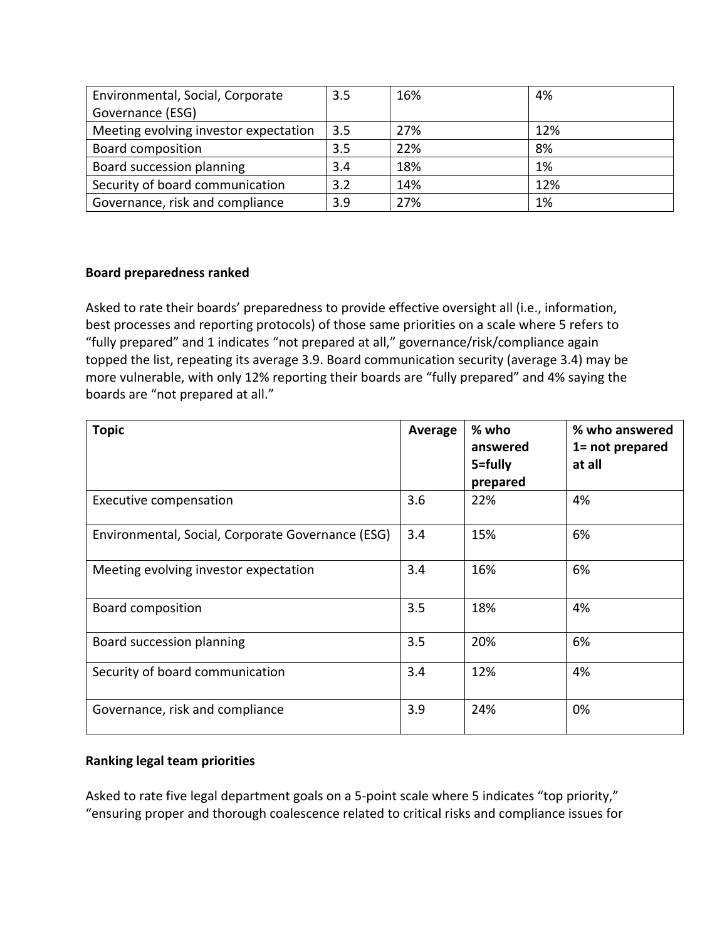| Environmental, Social, Corporate      | 3.5 | 16% | 4%  |
|---------------------------------------|-----|-----|-----|
| Governance (ESG)                      |     |     |     |
| Meeting evolving investor expectation | 3.5 | 27% | 12% |
| <b>Board composition</b>              | 3.5 | 22% | 8%  |
| Board succession planning             | 3.4 | 18% | 1%  |
| Security of board communication       | 3.2 | 14% | 12% |
| Governance, risk and compliance       | 3.9 | 27% | 1%  |

### **Board preparedness ranked**

Asked to rate their boards' preparedness to provide effective oversight all (i.e., information, best processes and reporting protocols) of those same priorities on a scale where 5 refers to "fully prepared" and 1 indicates "not prepared at all," governance/risk/compliance again topped the list, repeating its average 3.9. Board communication security (average 3.4) may be more vulnerable, with only 12% reporting their boards are "fully prepared" and 4% saying the boards are "not prepared at all."

| <b>Topic</b>                                      | Average | % who<br>answered<br>5=fully<br>prepared | % who answered<br>1= not prepared<br>at all |
|---------------------------------------------------|---------|------------------------------------------|---------------------------------------------|
| <b>Executive compensation</b>                     | 3.6     | 22%                                      | 4%                                          |
| Environmental, Social, Corporate Governance (ESG) | 3.4     | 15%                                      | 6%                                          |
| Meeting evolving investor expectation             | 3.4     | 16%                                      | 6%                                          |
| <b>Board composition</b>                          | 3.5     | 18%                                      | 4%                                          |
| Board succession planning                         | 3.5     | 20%                                      | 6%                                          |
| Security of board communication                   | 3.4     | 12%                                      | 4%                                          |
| Governance, risk and compliance                   | 3.9     | 24%                                      | 0%                                          |

## **Ranking legal team priorities**

Asked to rate five legal department goals on a 5-point scale where 5 indicates "top priority," "ensuring proper and thorough coalescence related to critical risks and compliance issues for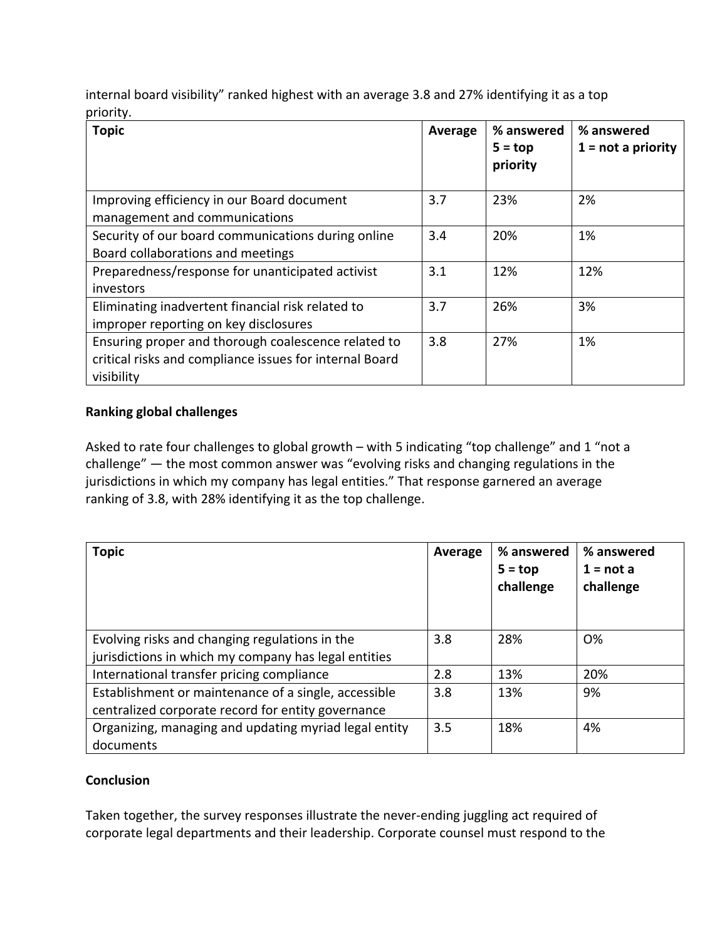internal board visibility" ranked highest with an average 3.8 and 27% identifying it as a top priority.

| <b>Topic</b>                                            | Average | % answered<br>$5 = top$<br>priority | % answered<br>$1 = not a priority$ |
|---------------------------------------------------------|---------|-------------------------------------|------------------------------------|
| Improving efficiency in our Board document              | 3.7     | 23%                                 | 2%                                 |
| management and communications                           |         |                                     |                                    |
| Security of our board communications during online      | 3.4     | 20%                                 | 1%                                 |
| Board collaborations and meetings                       |         |                                     |                                    |
| Preparedness/response for unanticipated activist        | 3.1     | 12%                                 | 12%                                |
| investors                                               |         |                                     |                                    |
| Eliminating inadvertent financial risk related to       | 3.7     | 26%                                 | 3%                                 |
| improper reporting on key disclosures                   |         |                                     |                                    |
| Ensuring proper and thorough coalescence related to     | 3.8     | 27%                                 | 1%                                 |
| critical risks and compliance issues for internal Board |         |                                     |                                    |
| visibility                                              |         |                                     |                                    |

## **Ranking global challenges**

Asked to rate four challenges to global growth – with 5 indicating "top challenge" and 1 "not a challenge" — the most common answer was "evolving risks and changing regulations in the jurisdictions in which my company has legal entities." That response garnered an average ranking of 3.8, with 28% identifying it as the top challenge.

| <b>Topic</b>                                          | Average | % answered<br>$5 = top$<br>challenge | % answered<br>$1 = not a$<br>challenge |
|-------------------------------------------------------|---------|--------------------------------------|----------------------------------------|
| Evolving risks and changing regulations in the        | 3.8     | 28%                                  | <b>O%</b>                              |
| jurisdictions in which my company has legal entities  |         |                                      |                                        |
| International transfer pricing compliance             | 2.8     | 13%                                  | 20%                                    |
| Establishment or maintenance of a single, accessible  | 3.8     | 13%                                  | 9%                                     |
| centralized corporate record for entity governance    |         |                                      |                                        |
| Organizing, managing and updating myriad legal entity | 3.5     | 18%                                  | 4%                                     |
| documents                                             |         |                                      |                                        |

## **Conclusion**

Taken together, the survey responses illustrate the never-ending juggling act required of corporate legal departments and their leadership. Corporate counsel must respond to the